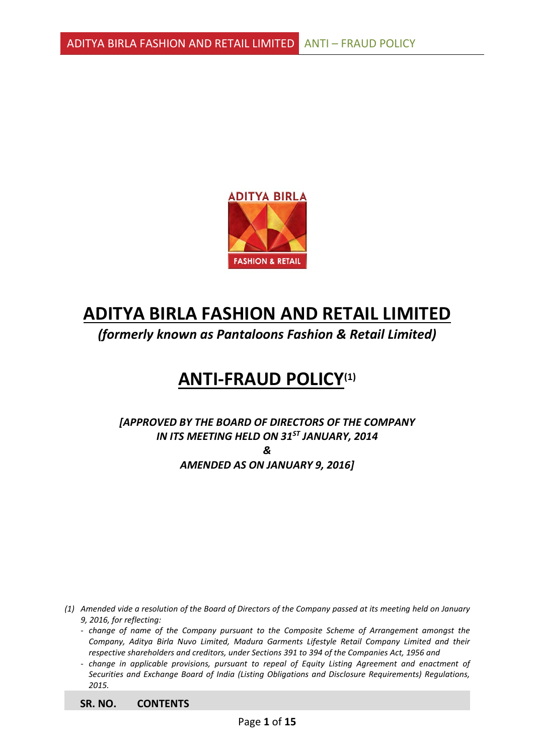

# **ADITYA BIRLA FASHION AND RETAIL LIMITED**

*(formerly known as Pantaloons Fashion & Retail Limited)*

# **ANTI-FRAUD POLICY(1)**

*[APPROVED BY THE BOARD OF DIRECTORS OF THE COMPANY IN ITS MEETING HELD ON 31ST JANUARY, 2014 & AMENDED AS ON JANUARY 9, 2016]*

*(1) Amended vide a resolution of the Board of Directors of the Company passed at its meeting held on January 9, 2016, for reflecting:*

- *change of name of the Company pursuant to the Composite Scheme of Arrangement amongst the Company, Aditya Birla Nuvo Limited, Madura Garments Lifestyle Retail Company Limited and their respective shareholders and creditors, under Sections 391 to 394 of the Companies Act, 1956 and*
- *change in applicable provisions, pursuant to repeal of Equity Listing Agreement and enactment of Securities and Exchange Board of India (Listing Obligations and Disclosure Requirements) Regulations, 2015.*

**SR. NO. CONTENTS**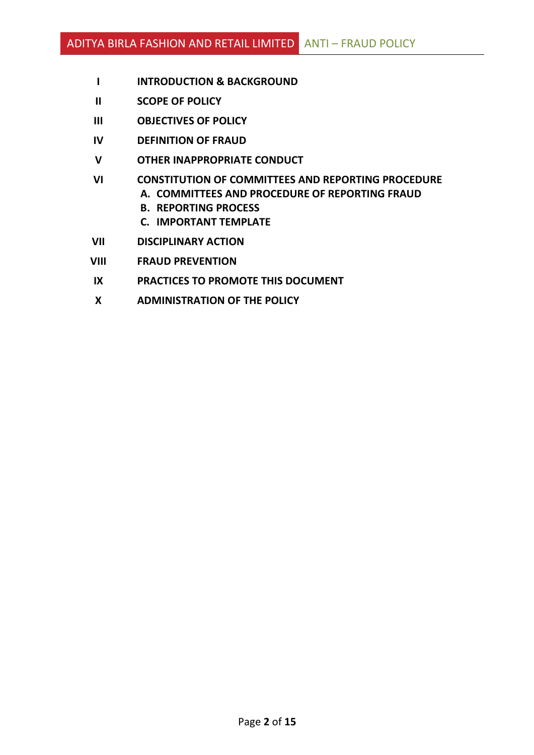- **I INTRODUCTION & BACKGROUND**
- **II SCOPE OF POLICY**
- **III OBJECTIVES OF POLICY**
- **IV DEFINITION OF FRAUD**
- **V OTHER INAPPROPRIATE CONDUCT**
- **VI CONSTITUTION OF COMMITTEES AND REPORTING PROCEDURE A. COMMITTEES AND PROCEDURE OF REPORTING FRAUD**
	- **B. REPORTING PROCESS**
	- **C. IMPORTANT TEMPLATE**
- **VII DISCIPLINARY ACTION**
- **VIII FRAUD PREVENTION**
- **IX PRACTICES TO PROMOTE THIS DOCUMENT**
- **X ADMINISTRATION OF THE POLICY**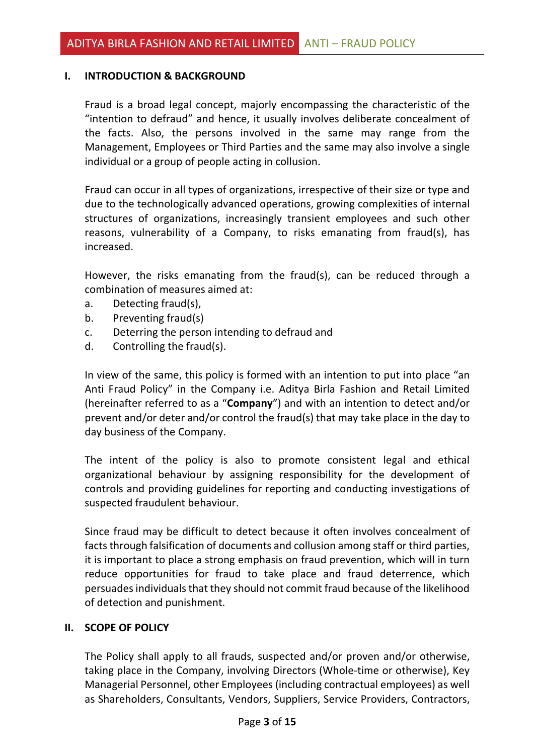#### **I. INTRODUCTION & BACKGROUND**

Fraud is a broad legal concept, majorly encompassing the characteristic of the "intention to defraud" and hence, it usually involves deliberate concealment of the facts. Also, the persons involved in the same may range from the Management, Employees or Third Parties and the same may also involve a single individual or a group of people acting in collusion.

Fraud can occur in all types of organizations, irrespective of their size or type and due to the technologically advanced operations, growing complexities of internal structures of organizations, increasingly transient employees and such other reasons, vulnerability of a Company, to risks emanating from fraud(s), has increased.

However, the risks emanating from the fraud(s), can be reduced through a combination of measures aimed at:

- a. Detecting fraud(s),
- b. Preventing fraud(s)
- c. Deterring the person intending to defraud and
- d. Controlling the fraud(s).

In view of the same, this policy is formed with an intention to put into place "an Anti Fraud Policy" in the Company i.e. Aditya Birla Fashion and Retail Limited (hereinafter referred to as a "**Company**") and with an intention to detect and/or prevent and/or deter and/or control the fraud(s) that may take place in the day to day business of the Company.

The intent of the policy is also to promote consistent legal and ethical organizational behaviour by assigning responsibility for the development of controls and providing guidelines for reporting and conducting investigations of suspected fraudulent behaviour.

Since fraud may be difficult to detect because it often involves concealment of facts through falsification of documents and collusion among staff or third parties, it is important to place a strong emphasis on fraud prevention, which will in turn reduce opportunities for fraud to take place and fraud deterrence, which persuades individuals that they should not commit fraud because of the likelihood of detection and punishment.

#### **II. SCOPE OF POLICY**

The Policy shall apply to all frauds, suspected and/or proven and/or otherwise, taking place in the Company, involving Directors (Whole-time or otherwise), Key Managerial Personnel, other Employees (including contractual employees) as well as Shareholders, Consultants, Vendors, Suppliers, Service Providers, Contractors,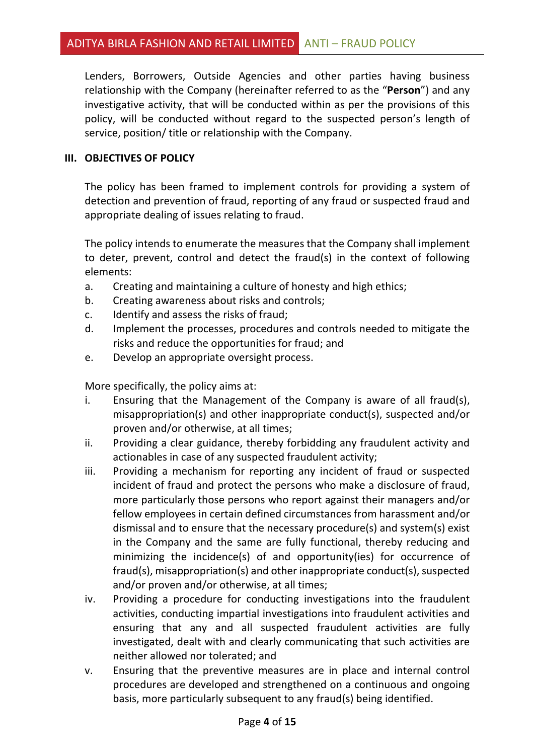Lenders, Borrowers, Outside Agencies and other parties having business relationship with the Company (hereinafter referred to as the "**Person**") and any investigative activity, that will be conducted within as per the provisions of this policy, will be conducted without regard to the suspected person's length of service, position/ title or relationship with the Company.

#### **III. OBJECTIVES OF POLICY**

The policy has been framed to implement controls for providing a system of detection and prevention of fraud, reporting of any fraud or suspected fraud and appropriate dealing of issues relating to fraud.

The policy intends to enumerate the measures that the Company shall implement to deter, prevent, control and detect the fraud(s) in the context of following elements:

- a. Creating and maintaining a culture of honesty and high ethics;
- b. Creating awareness about risks and controls;
- c. Identify and assess the risks of fraud;
- d. Implement the processes, procedures and controls needed to mitigate the risks and reduce the opportunities for fraud; and
- e. Develop an appropriate oversight process.

More specifically, the policy aims at:

- i. Ensuring that the Management of the Company is aware of all fraud(s), misappropriation(s) and other inappropriate conduct(s), suspected and/or proven and/or otherwise, at all times;
- ii. Providing a clear guidance, thereby forbidding any fraudulent activity and actionables in case of any suspected fraudulent activity;
- iii. Providing a mechanism for reporting any incident of fraud or suspected incident of fraud and protect the persons who make a disclosure of fraud, more particularly those persons who report against their managers and/or fellow employees in certain defined circumstances from harassment and/or dismissal and to ensure that the necessary procedure(s) and system(s) exist in the Company and the same are fully functional, thereby reducing and minimizing the incidence(s) of and opportunity(ies) for occurrence of fraud(s), misappropriation(s) and other inappropriate conduct(s), suspected and/or proven and/or otherwise, at all times;
- iv. Providing a procedure for conducting investigations into the fraudulent activities, conducting impartial investigations into fraudulent activities and ensuring that any and all suspected fraudulent activities are fully investigated, dealt with and clearly communicating that such activities are neither allowed nor tolerated; and
- v. Ensuring that the preventive measures are in place and internal control procedures are developed and strengthened on a continuous and ongoing basis, more particularly subsequent to any fraud(s) being identified.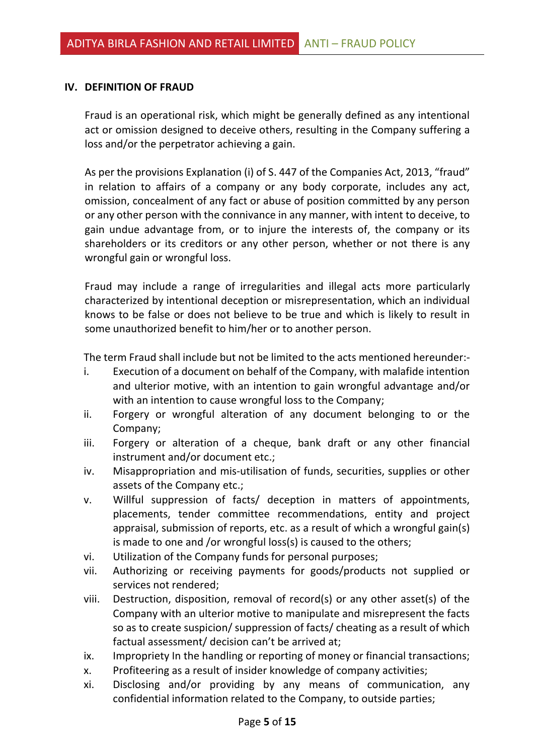#### **IV. DEFINITION OF FRAUD**

Fraud is an operational risk, which might be generally defined as any intentional act or omission designed to deceive others, resulting in the Company suffering a loss and/or the perpetrator achieving a gain.

As per the provisions Explanation (i) of S. 447 of the Companies Act, 2013, "fraud" in relation to affairs of a company or any body corporate, includes any act, omission, concealment of any fact or abuse of position committed by any person or any other person with the connivance in any manner, with intent to deceive, to gain undue advantage from, or to injure the interests of, the company or its shareholders or its creditors or any other person, whether or not there is any wrongful gain or wrongful loss.

Fraud may include a range of irregularities and illegal acts more particularly characterized by intentional deception or misrepresentation, which an individual knows to be false or does not believe to be true and which is likely to result in some unauthorized benefit to him/her or to another person.

The term Fraud shall include but not be limited to the acts mentioned hereunder:-

- i. Execution of a document on behalf of the Company, with malafide intention and ulterior motive, with an intention to gain wrongful advantage and/or with an intention to cause wrongful loss to the Company;
- ii. Forgery or wrongful alteration of any document belonging to or the Company;
- iii. Forgery or alteration of a cheque, bank draft or any other financial instrument and/or document etc.;
- iv. Misappropriation and mis-utilisation of funds, securities, supplies or other assets of the Company etc.;
- v. Willful suppression of facts/ deception in matters of appointments, placements, tender committee recommendations, entity and project appraisal, submission of reports, etc. as a result of which a wrongful gain(s) is made to one and /or wrongful loss(s) is caused to the others;
- vi. Utilization of the Company funds for personal purposes;
- vii. Authorizing or receiving payments for goods/products not supplied or services not rendered;
- viii. Destruction, disposition, removal of record(s) or any other asset(s) of the Company with an ulterior motive to manipulate and misrepresent the facts so as to create suspicion/ suppression of facts/ cheating as a result of which factual assessment/ decision can't be arrived at;
- ix. Impropriety In the handling or reporting of money or financial transactions;
- x. Profiteering as a result of insider knowledge of company activities;
- xi. Disclosing and/or providing by any means of communication, any confidential information related to the Company, to outside parties;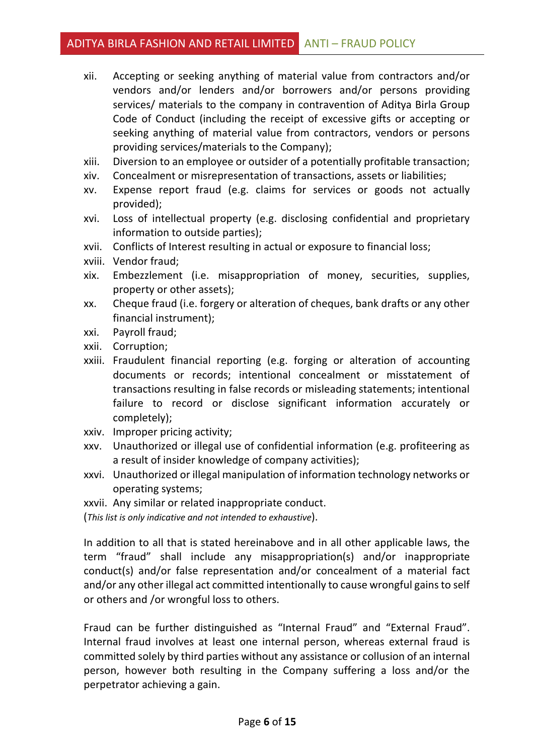- xii. Accepting or seeking anything of material value from contractors and/or vendors and/or lenders and/or borrowers and/or persons providing services/ materials to the company in contravention of Aditya Birla Group Code of Conduct (including the receipt of excessive gifts or accepting or seeking anything of material value from contractors, vendors or persons providing services/materials to the Company);
- xiii. Diversion to an employee or outsider of a potentially profitable transaction;
- xiv. Concealment or misrepresentation of transactions, assets or liabilities;
- xv. Expense report fraud (e.g. claims for services or goods not actually provided);
- xvi. Loss of intellectual property (e.g. disclosing confidential and proprietary information to outside parties);
- xvii. Conflicts of Interest resulting in actual or exposure to financial loss;
- xviii. Vendor fraud;
- xix. Embezzlement (i.e. misappropriation of money, securities, supplies, property or other assets);
- xx. Cheque fraud (i.e. forgery or alteration of cheques, bank drafts or any other financial instrument);
- xxi. Payroll fraud;
- xxii. Corruption;
- xxiii. Fraudulent financial reporting (e.g. forging or alteration of accounting documents or records; intentional concealment or misstatement of transactions resulting in false records or misleading statements; intentional failure to record or disclose significant information accurately or completely);
- xxiv. Improper pricing activity;
- xxv. Unauthorized or illegal use of confidential information (e.g. profiteering as a result of insider knowledge of company activities);
- xxvi. Unauthorized or illegal manipulation of information technology networks or operating systems;
- xxvii. Any similar or related inappropriate conduct.

(*This list is only indicative and not intended to exhaustive*).

In addition to all that is stated hereinabove and in all other applicable laws, the term "fraud" shall include any misappropriation(s) and/or inappropriate conduct(s) and/or false representation and/or concealment of a material fact and/or any other illegal act committed intentionally to cause wrongful gains to self or others and /or wrongful loss to others.

Fraud can be further distinguished as "Internal Fraud" and "External Fraud". Internal fraud involves at least one internal person, whereas external fraud is committed solely by third parties without any assistance or collusion of an internal person, however both resulting in the Company suffering a loss and/or the perpetrator achieving a gain.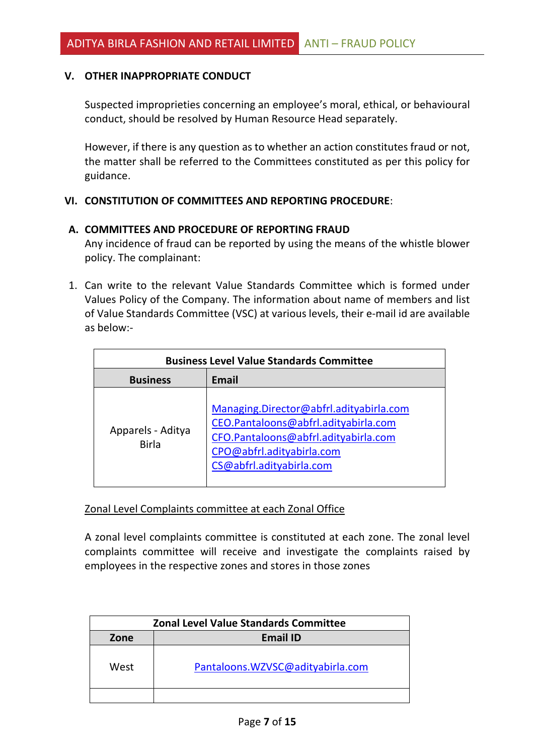#### **V. OTHER INAPPROPRIATE CONDUCT**

Suspected improprieties concerning an employee's moral, ethical, or behavioural conduct, should be resolved by Human Resource Head separately.

However, if there is any question as to whether an action constitutes fraud or not, the matter shall be referred to the Committees constituted as per this policy for guidance.

#### **VI. CONSTITUTION OF COMMITTEES AND REPORTING PROCEDURE**:

#### **A. COMMITTEES AND PROCEDURE OF REPORTING FRAUD**

Any incidence of fraud can be reported by using the means of the whistle blower policy. The complainant:

1. Can write to the relevant Value Standards Committee which is formed under Values Policy of the Company. The information about name of members and list of Value Standards Committee (VSC) at various levels, their e-mail id are available as below:-

| <b>Business Level Value Standards Committee</b> |                                                                                                                                                                                  |  |
|-------------------------------------------------|----------------------------------------------------------------------------------------------------------------------------------------------------------------------------------|--|
| <b>Business</b>                                 | <b>Email</b>                                                                                                                                                                     |  |
| Apparels - Aditya<br><b>Birla</b>               | Managing.Director@abfrl.adityabirla.com<br>CEO.Pantaloons@abfrl.adityabirla.com<br>CFO.Pantaloons@abfrl.adityabirla.com<br>CPO@abfrl.adityabirla.com<br>CS@abfrl.adityabirla.com |  |

Zonal Level Complaints committee at each Zonal Office

A zonal level complaints committee is constituted at each zone. The zonal level complaints committee will receive and investigate the complaints raised by employees in the respective zones and stores in those zones

| <b>Zonal Level Value Standards Committee</b> |                                  |  |
|----------------------------------------------|----------------------------------|--|
| Zone                                         | <b>Email ID</b>                  |  |
| West                                         | Pantaloons.WZVSC@adityabirla.com |  |
|                                              |                                  |  |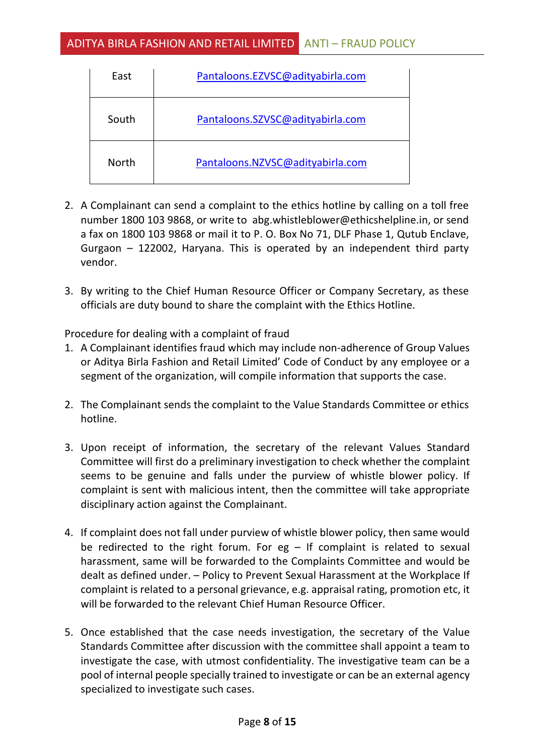| East         | Pantaloons.EZVSC@adityabirla.com |
|--------------|----------------------------------|
| South        | Pantaloons.SZVSC@adityabirla.com |
| <b>North</b> | Pantaloons.NZVSC@adityabirla.com |

- 2. A Complainant can send a complaint to the ethics hotline by calling on a toll free number 1800 103 9868, or write to [abg.whistleblower@ethicshelpline.in](mailto:abg.whistleblower@ethicshelpline.in), or send a fax on 1800 103 9868 or mail it to P. O. Box No 71, DLF Phase 1, Qutub Enclave, Gurgaon – 122002, Haryana. This is operated by an independent third party vendor.
- 3. By writing to the Chief Human Resource Officer or Company Secretary, as these officials are duty bound to share the complaint with the Ethics Hotline.

Procedure for dealing with a complaint of fraud

- 1. A Complainant identifies fraud which may include non-adherence of Group Values or Aditya Birla Fashion and Retail Limited' Code of Conduct by any employee or a segment of the organization, will compile information that supports the case.
- 2. The Complainant sends the complaint to the Value Standards Committee or ethics hotline.
- 3. Upon receipt of information, the secretary of the relevant Values Standard Committee will first do a preliminary investigation to check whether the complaint seems to be genuine and falls under the purview of whistle blower policy. If complaint is sent with malicious intent, then the committee will take appropriate disciplinary action against the Complainant.
- 4. If complaint does not fall under purview of whistle blower policy, then same would be redirected to the right forum. For  $eg - If$  complaint is related to sexual harassment, same will be forwarded to the Complaints Committee and would be dealt as defined under. – Policy to Prevent Sexual Harassment at the Workplace If complaint is related to a personal grievance, e.g. appraisal rating, promotion etc, it will be forwarded to the relevant Chief Human Resource Officer.
- 5. Once established that the case needs investigation, the secretary of the Value Standards Committee after discussion with the committee shall appoint a team to investigate the case, with utmost confidentiality. The investigative team can be a pool of internal people specially trained to investigate or can be an external agency specialized to investigate such cases.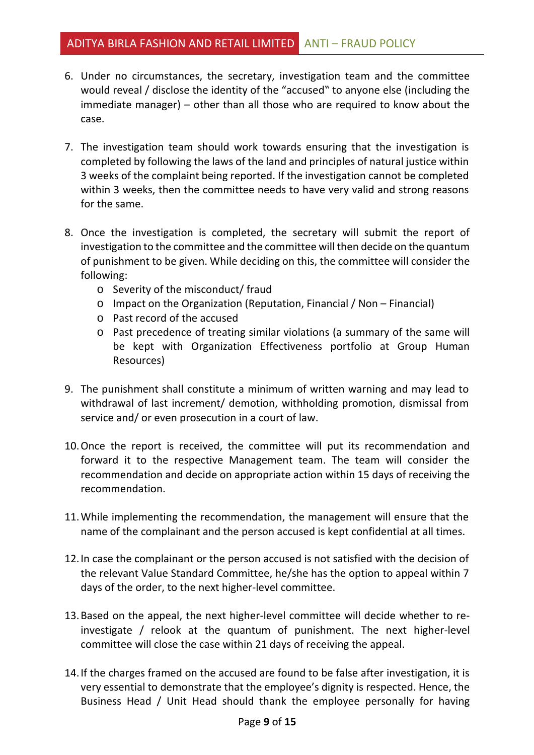## ADITYA BIRLA FASHION AND RETAIL LIMITED ANTI – FRAUD POLICY

- 6. Under no circumstances, the secretary, investigation team and the committee would reveal / disclose the identity of the "accused" to anyone else (including the immediate manager) – other than all those who are required to know about the case.
- 7. The investigation team should work towards ensuring that the investigation is completed by following the laws of the land and principles of natural justice within 3 weeks of the complaint being reported. If the investigation cannot be completed within 3 weeks, then the committee needs to have very valid and strong reasons for the same.
- 8. Once the investigation is completed, the secretary will submit the report of investigation to the committee and the committee will then decide on the quantum of punishment to be given. While deciding on this, the committee will consider the following:
	- o Severity of the misconduct/ fraud
	- o Impact on the Organization (Reputation, Financial / Non Financial)
	- o Past record of the accused
	- o Past precedence of treating similar violations (a summary of the same will be kept with Organization Effectiveness portfolio at Group Human Resources)
- 9. The punishment shall constitute a minimum of written warning and may lead to withdrawal of last increment/ demotion, withholding promotion, dismissal from service and/ or even prosecution in a court of law.
- 10.Once the report is received, the committee will put its recommendation and forward it to the respective Management team. The team will consider the recommendation and decide on appropriate action within 15 days of receiving the recommendation.
- 11.While implementing the recommendation, the management will ensure that the name of the complainant and the person accused is kept confidential at all times.
- 12.In case the complainant or the person accused is not satisfied with the decision of the relevant Value Standard Committee, he/she has the option to appeal within 7 days of the order, to the next higher-level committee.
- 13.Based on the appeal, the next higher-level committee will decide whether to reinvestigate / relook at the quantum of punishment. The next higher-level committee will close the case within 21 days of receiving the appeal.
- 14.If the charges framed on the accused are found to be false after investigation, it is very essential to demonstrate that the employee's dignity is respected. Hence, the Business Head / Unit Head should thank the employee personally for having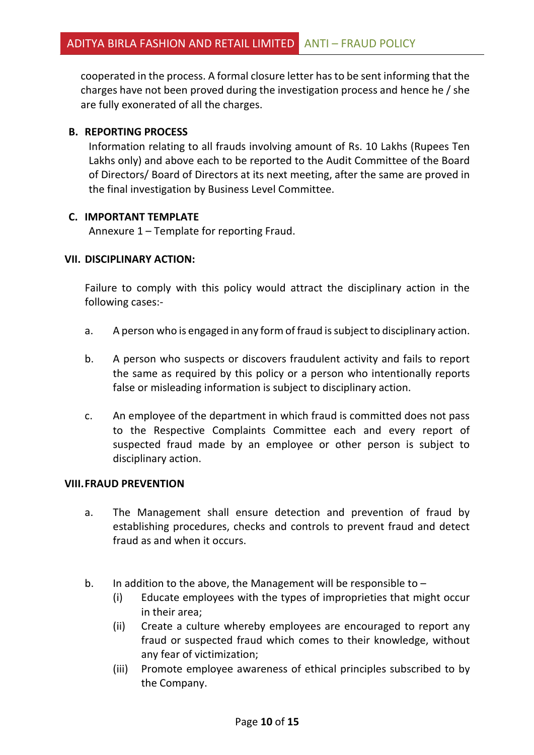cooperated in the process. A formal closure letter has to be sent informing that the charges have not been proved during the investigation process and hence he / she are fully exonerated of all the charges.

#### **B. REPORTING PROCESS**

Information relating to all frauds involving amount of Rs. 10 Lakhs (Rupees Ten Lakhs only) and above each to be reported to the Audit Committee of the Board of Directors/ Board of Directors at its next meeting, after the same are proved in the final investigation by Business Level Committee.

#### **C. IMPORTANT TEMPLATE**

Annexure 1 – Template for reporting Fraud.

#### **VII. DISCIPLINARY ACTION:**

Failure to comply with this policy would attract the disciplinary action in the following cases:-

- a. A person who is engaged in any form of fraud is subject to disciplinary action.
- b. A person who suspects or discovers fraudulent activity and fails to report the same as required by this policy or a person who intentionally reports false or misleading information is subject to disciplinary action.
- c. An employee of the department in which fraud is committed does not pass to the Respective Complaints Committee each and every report of suspected fraud made by an employee or other person is subject to disciplinary action.

#### **VIII.FRAUD PREVENTION**

- a. The Management shall ensure detection and prevention of fraud by establishing procedures, checks and controls to prevent fraud and detect fraud as and when it occurs.
- b. In addition to the above, the Management will be responsible to  $-$ 
	- (i) Educate employees with the types of improprieties that might occur in their area;
	- (ii) Create a culture whereby employees are encouraged to report any fraud or suspected fraud which comes to their knowledge, without any fear of victimization;
	- (iii) Promote employee awareness of ethical principles subscribed to by the Company.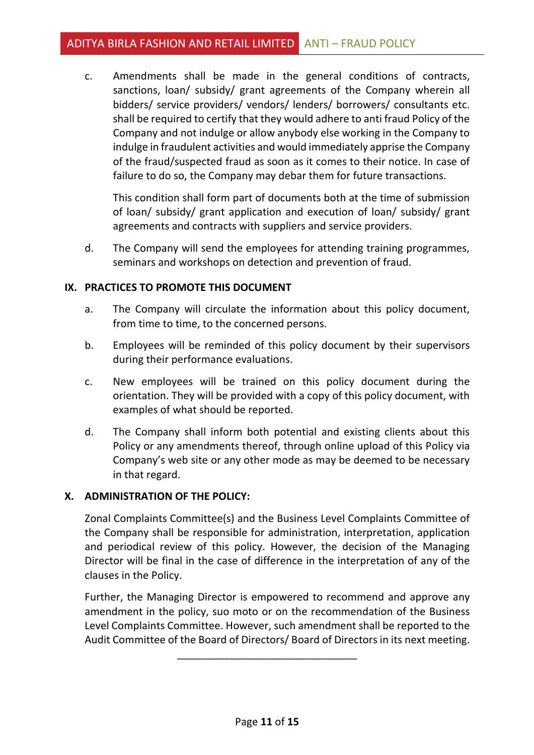c. Amendments shall be made in the general conditions of contracts, sanctions, loan/ subsidy/ grant agreements of the Company wherein all bidders/ service providers/ vendors/ lenders/ borrowers/ consultants etc. shall be required to certify that they would adhere to anti fraud Policy of the Company and not indulge or allow anybody else working in the Company to indulge in fraudulent activities and would immediately apprise the Company of the fraud/suspected fraud as soon as it comes to their notice. In case of failure to do so, the Company may debar them for future transactions.

This condition shall form part of documents both at the time of submission of loan/ subsidy/ grant application and execution of loan/ subsidy/ grant agreements and contracts with suppliers and service providers.

d. The Company will send the employees for attending training programmes, seminars and workshops on detection and prevention of fraud.

### **IX. PRACTICES TO PROMOTE THIS DOCUMENT**

- a. The Company will circulate the information about this policy document, from time to time, to the concerned persons.
- b. Employees will be reminded of this policy document by their supervisors during their performance evaluations.
- c. New employees will be trained on this policy document during the orientation. They will be provided with a copy of this policy document, with examples of what should be reported.
- d. The Company shall inform both potential and existing clients about this Policy or any amendments thereof, through online upload of this Policy via Company's web site or any other mode as may be deemed to be necessary in that regard.

### **X. ADMINISTRATION OF THE POLICY:**

Zonal Complaints Committee(s) and the Business Level Complaints Committee of the Company shall be responsible for administration, interpretation, application and periodical review of this policy. However, the decision of the Managing Director will be final in the case of difference in the interpretation of any of the clauses in the Policy.

Further, the Managing Director is empowered to recommend and approve any amendment in the policy, suo moto or on the recommendation of the Business Level Complaints Committee. However, such amendment shall be reported to the Audit Committee of the Board of Directors/ Board of Directors in its next meeting.

\_\_\_\_\_\_\_\_\_\_\_\_\_\_\_\_\_\_\_\_\_\_\_\_\_\_\_\_\_\_\_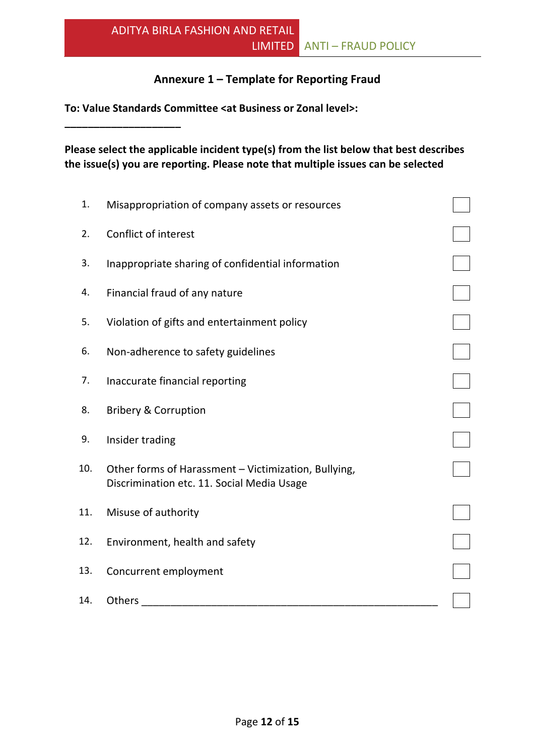## **Annexure 1 – Template for Reporting Fraud**

**To: Value Standards Committee <at Business or Zonal level>:** 

**\_\_\_\_\_\_\_\_\_\_\_\_\_\_\_\_\_\_\_\_**

**Please select the applicable incident type(s) from the list below that best describes the issue(s) you are reporting. Please note that multiple issues can be selected**

| 1.  | Misappropriation of company assets or resources                                                    |  |
|-----|----------------------------------------------------------------------------------------------------|--|
| 2.  | <b>Conflict of interest</b>                                                                        |  |
| 3.  | Inappropriate sharing of confidential information                                                  |  |
| 4.  | Financial fraud of any nature                                                                      |  |
| 5.  | Violation of gifts and entertainment policy                                                        |  |
| 6.  | Non-adherence to safety guidelines                                                                 |  |
| 7.  | Inaccurate financial reporting                                                                     |  |
| 8.  | <b>Bribery &amp; Corruption</b>                                                                    |  |
| 9.  | Insider trading                                                                                    |  |
| 10. | Other forms of Harassment - Victimization, Bullying,<br>Discrimination etc. 11. Social Media Usage |  |
| 11. | Misuse of authority                                                                                |  |
| 12. | Environment, health and safety                                                                     |  |
| 13. | Concurrent employment                                                                              |  |
| 14. | Others                                                                                             |  |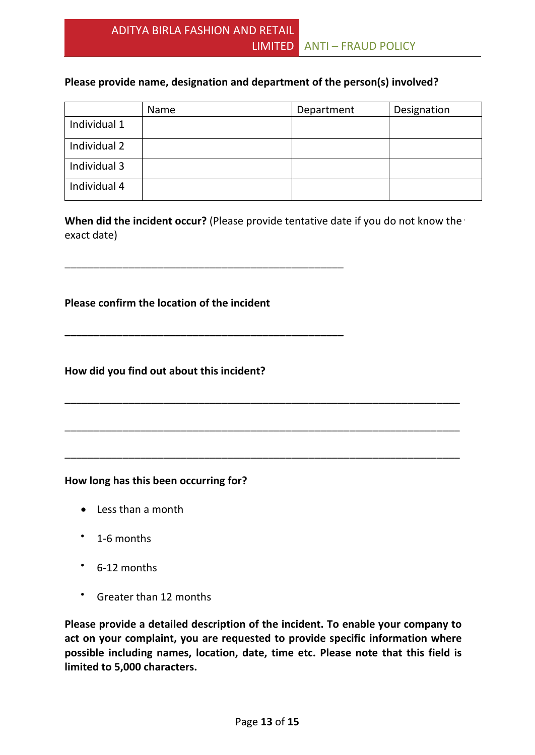### **Please provide name, designation and department of the person(s) involved?**

|              | Name | Department | Designation |
|--------------|------|------------|-------------|
| Individual 1 |      |            |             |
| Individual 2 |      |            |             |
| Individual 3 |      |            |             |
| Individual 4 |      |            |             |

**When did the incident occur?** (Please provide tentative date if you do not know the exact date)

\_\_\_\_\_\_\_\_\_\_\_\_\_\_\_\_\_\_\_\_\_\_\_\_\_\_\_\_\_\_\_\_\_\_\_\_\_\_\_\_\_\_\_\_\_\_\_\_\_\_\_\_\_\_\_\_\_\_\_\_\_\_\_\_\_\_\_\_

\_\_\_\_\_\_\_\_\_\_\_\_\_\_\_\_\_\_\_\_\_\_\_\_\_\_\_\_\_\_\_\_\_\_\_\_\_\_\_\_\_\_\_\_\_\_\_\_\_\_\_\_\_\_\_\_\_\_\_\_\_\_\_\_\_\_\_\_

\_\_\_\_\_\_\_\_\_\_\_\_\_\_\_\_\_\_\_\_\_\_\_\_\_\_\_\_\_\_\_\_\_\_\_\_\_\_\_\_\_\_\_\_\_\_\_\_\_\_\_\_\_\_\_\_\_\_\_\_\_\_\_\_\_\_\_\_

#### **Please confirm the location of the incident**

\_\_\_\_\_\_\_\_\_\_\_\_\_\_\_\_\_\_\_\_\_\_\_\_\_\_\_\_\_\_\_\_\_\_\_\_\_\_\_\_\_\_\_\_\_\_\_\_

**\_\_\_\_\_\_\_\_\_\_\_\_\_\_\_\_\_\_\_\_\_\_\_\_\_\_\_\_\_\_\_\_\_\_\_\_\_\_\_\_\_\_\_\_\_\_\_\_**

#### **How did you find out about this incident?**

#### **How long has this been occurring for?**

- Less than a month
- 1-6 months
- 6-12 months
- Greater than 12 months

**Please provide a detailed description of the incident. To enable your company to act on your complaint, you are requested to provide specific information where possible including names, location, date, time etc. Please note that this field is limited to 5,000 characters.**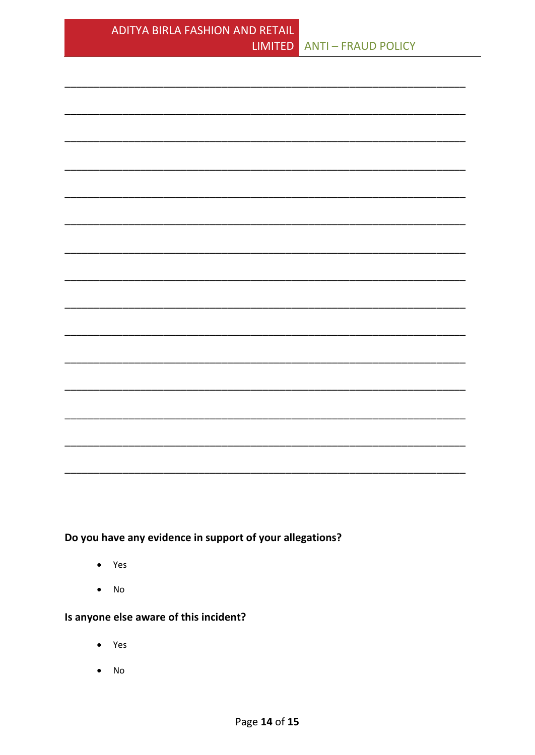Do you have any evidence in support of your allegations?

- Yes  $\bullet$
- $No$  $\bullet$

## Is anyone else aware of this incident?

- Yes
- No  $\bullet$